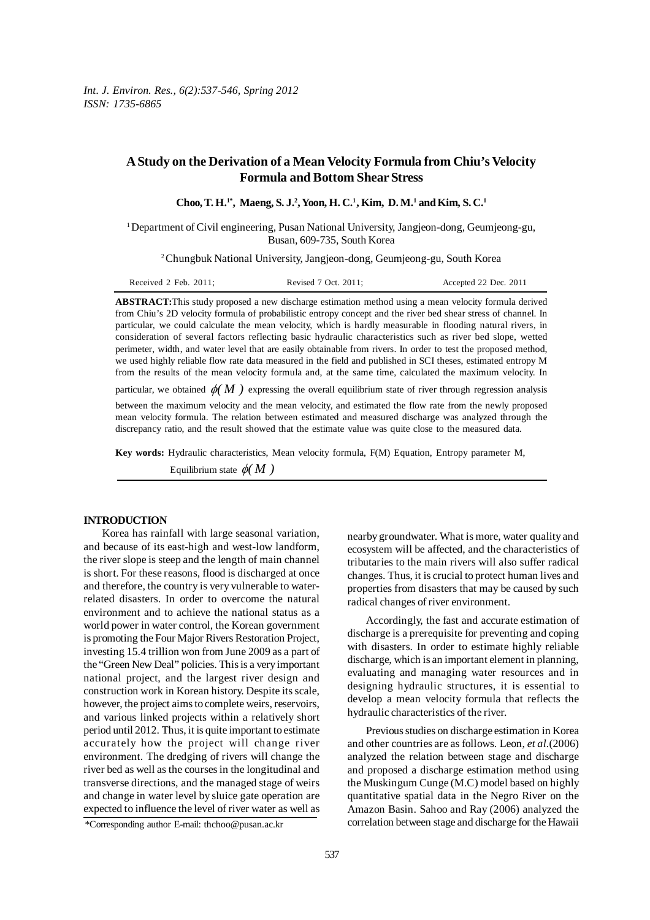# **A Study on the Derivation of a Mean Velocity Formula from Chiu's Velocity Formula and Bottom Shear Stress**

**Choo, T. H.1\*, Maeng, S. J.2 , Yoon, H. C.1 , Kim, D. M.1 and Kim, S. C.1**

<sup>1</sup>Department of Civil engineering, Pusan National University, Jangjeon-dong, Geumjeong-gu, Busan, 609-735, South Korea

2 Chungbuk National University, Jangjeon-dong, Geumjeong-gu, South Korea

| Received 2 Feb. $2011$ ; | Revised 7 Oct. 2011; | Accepted 22 Dec. 2011 |
|--------------------------|----------------------|-----------------------|
|                          |                      |                       |

**ABSTRACT:**This study proposed a new discharge estimation method using a mean velocity formula derived from Chiu's 2D velocity formula of probabilistic entropy concept and the river bed shear stress of channel. In particular, we could calculate the mean velocity, which is hardly measurable in flooding natural rivers, in consideration of several factors reflecting basic hydraulic characteristics such as river bed slope, wetted perimeter, width, and water level that are easily obtainable from rivers. In order to test the proposed method, we used highly reliable flow rate data measured in the field and published in SCI theses, estimated entropy M from the results of the mean velocity formula and, at the same time, calculated the maximum velocity. In

particular, we obtained  $\phi(M)$  expressing the overall equilibrium state of river through regression analysis

between the maximum velocity and the mean velocity, and estimated the flow rate from the newly proposed mean velocity formula. The relation between estimated and measured discharge was analyzed through the discrepancy ratio, and the result showed that the estimate value was quite close to the measured data.

**Key words:** Hydraulic characteristics, Mean velocity formula, F(M) Equation, Entropy parameter M,

Equilibrium state  $\phi(M)$ 

## **INTRODUCTION**

Korea has rainfall with large seasonal variation, and because of its east-high and west-low landform, the river slope is steep and the length of main channel is short. For these reasons, flood is discharged at once and therefore, the country is very vulnerable to waterrelated disasters. In order to overcome the natural environment and to achieve the national status as a world power in water control, the Korean government is promoting the Four Major Rivers Restoration Project, investing 15.4 trillion won from June 2009 as a part of the "Green New Deal" policies. This is a very important national project, and the largest river design and construction work in Korean history. Despite its scale, however, the project aims to complete weirs, reservoirs, and various linked projects within a relatively short period until 2012. Thus, it is quite important to estimate accurately how the project will change river environment. The dredging of rivers will change the river bed as well as the courses in the longitudinal and transverse directions, and the managed stage of weirs and change in water level by sluice gate operation are expected to influence the level of river water as well as

nearby groundwater. What is more, water quality and ecosystem will be affected, and the characteristics of tributaries to the main rivers will also suffer radical changes. Thus, it is crucial to protect human lives and properties from disasters that may be caused by such radical changes of river environment.

Accordingly, the fast and accurate estimation of discharge is a prerequisite for preventing and coping with disasters. In order to estimate highly reliable discharge, which is an important element in planning, evaluating and managing water resources and in designing hydraulic structures, it is essential to develop a mean velocity formula that reflects the hydraulic characteristics of the river.

Previous studies on discharge estimation in Korea and other countries are as follows. Leon, *et al.*(2006) analyzed the relation between stage and discharge and proposed a discharge estimation method using the Muskingum Cunge (M.C) model based on highly quantitative spatial data in the Negro River on the Amazon Basin. Sahoo and Ray (2006) analyzed the correlation between stage and discharge for the Hawaii

<sup>\*</sup>Corresponding author E-mail: thchoo@pusan.ac.kr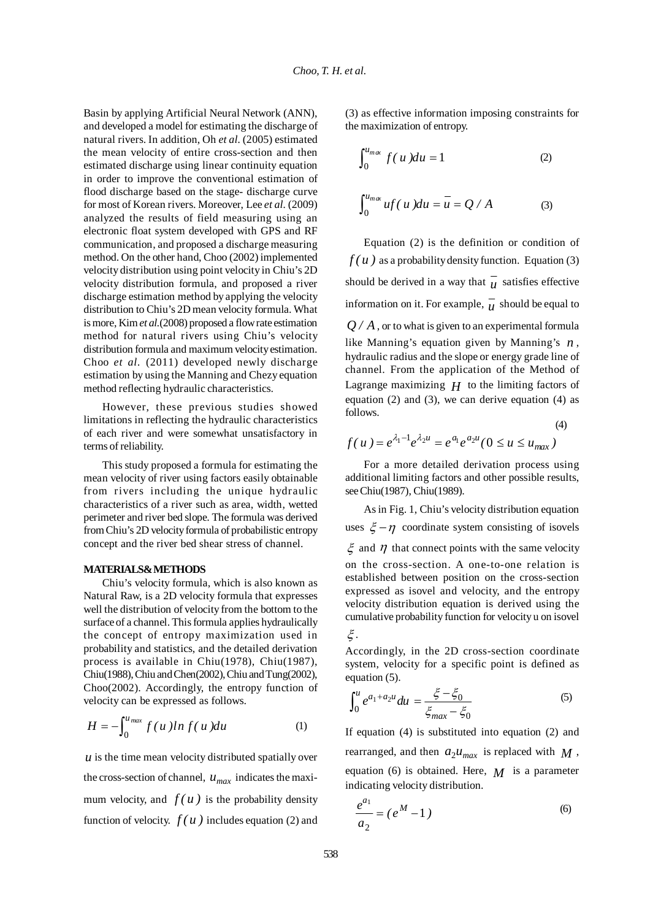Basin by applying Artificial Neural Network (ANN), and developed a model for estimating the discharge of natural rivers. In addition, Oh *et al.* (2005) estimated the mean velocity of entire cross-section and then estimated discharge using linear continuity equation in order to improve the conventional estimation of flood discharge based on the stage- discharge curve for most of Korean rivers. Moreover, Lee *et al.* (2009) analyzed the results of field measuring using an electronic float system developed with GPS and RF communication, and proposed a discharge measuring method. On the other hand, Choo (2002) implemented velocity distribution using point velocity in Chiu's 2D velocity distribution formula, and proposed a river discharge estimation method by applying the velocity distribution to Chiu's 2D mean velocity formula. What is more, Kim *et al.*(2008) proposed a flow rate estimation method for natural rivers using Chiu's velocity distribution formula and maximum velocity estimation. Choo *et al.* (2011) developed newly discharge estimation by using the Manning and Chezy equation method reflecting hydraulic characteristics.

However, these previous studies showed limitations in reflecting the hydraulic characteristics of each river and were somewhat unsatisfactory in terms of reliability.

This study proposed a formula for estimating the mean velocity of river using factors easily obtainable from rivers including the unique hydraulic characteristics of a river such as area, width, wetted perimeter and river bed slope. The formula was derived from Chiu's 2D velocity formula of probabilistic entropy concept and the river bed shear stress of channel.

#### **MATERIALS& METHODS**

Chiu's velocity formula, which is also known as Natural Raw, is a 2D velocity formula that expresses well the distribution of velocity from the bottom to the surface of a channel. This formula applies hydraulically the concept of entropy maximization used in probability and statistics, and the detailed derivation process is available in Chiu(1978), Chiu(1987), Chiu(1988), Chiu and Chen(2002), Chiu and Tung(2002), Choo(2002). Accordingly, the entropy function of velocity can be expressed as follows.

$$
H = -\int_0^{u_{max}} f(u) \ln f(u) \, du \tag{1}
$$

 *is the time mean velocity distributed spatially over* the cross-section of channel,  $u_{max}$  indicates the maximum velocity, and  $f(u)$  is the probability density function of velocity.  $f(u)$  includes equation (2) and (3) as effective information imposing constraints for the maximization of entropy.

$$
\int_0^{u_{m\alpha}} f(u) du = 1
$$
 (2)

$$
\int_0^{u_{m\alpha}} uf(u) du = u = Q/A \tag{3}
$$

Equation (2) is the definition or condition of  $f(u)$  as a probability density function. Equation (3) should be derived in a way that  $\overline{u}$  satisfies effective information on it. For example,  $\overline{u}$  should be equal to *Q / A*, or to what is given to an experimental formula like Manning's equation given by Manning's *n* , hydraulic radius and the slope or energy grade line of channel. From the application of the Method of Lagrange maximizing  $H$  to the limiting factors of equation  $(2)$  and  $(3)$ , we can derive equation  $(4)$  as follows.

$$
f(u) = e^{\lambda_1 - 1} e^{\lambda_2 u} = e^{a_1} e^{a_2 u} (0 \le u \le u_{max})
$$

For a more detailed derivation process using additional limiting factors and other possible results, see Chiu(1987), Chiu(1989).

(4)

As in Fig. 1, Chiu's velocity distribution equation uses  $\xi - \eta$  coordinate system consisting of isovels  $\zeta$  and  $\eta$  that connect points with the same velocity on the cross-section. A one-to-one relation is established between position on the cross-section expressed as isovel and velocity, and the entropy velocity distribution equation is derived using the cumulative probability function for velocity u on isovel ξ .

Accordingly, in the 2D cross-section coordinate system, velocity for a specific point is defined as equation (5).

$$
\int_0^u e^{a_1 + a_2 u} du = \frac{\xi - \xi_0}{\xi_{max} - \xi_0}
$$
 (5)

If equation (4) is substituted into equation (2) and rearranged, and then  $a_2u_{max}$  is replaced with  $M$ , equation (6) is obtained. Here,  $M$  is a parameter indicating velocity distribution.

$$
\frac{e^{a_1}}{a_2} = (e^M - 1)
$$
 (6)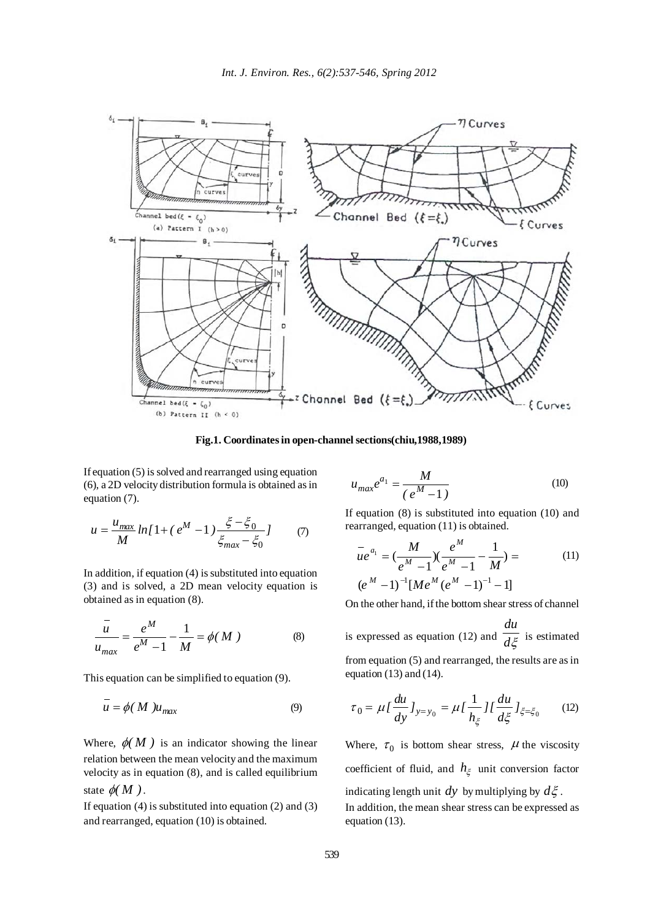

**Fig.1. Coordinates in open-channel sections(chiu,1988,1989)**

If equation (5) is solved and rearranged using equation (6), a 2D velocity distribution formula is obtained as in equation (7).

$$
u = \frac{u_{max}}{M} \ln[1 + (e^M - 1) \frac{\xi - \xi_0}{\xi_{max} - \xi_0}] \tag{7}
$$

In addition, if equation (4) is substituted into equation (3) and is solved, a 2D mean velocity equation is obtained as in equation (8).

$$
\frac{u}{u_{max}} = \frac{e^M}{e^M - 1} - \frac{1}{M} = \phi(M)
$$
 (8)

This equation can be simplified to equation (9).

$$
\overline{u} = \phi(M)u_{max} \tag{9}
$$

Where,  $\phi(M)$  is an indicator showing the linear relation between the mean velocity and the maximum velocity as in equation (8), and is called equilibrium state  $\phi(M)$ .

If equation (4) is substituted into equation (2) and (3) and rearranged, equation (10) is obtained.

$$
u_{max}e^{a_1} = \frac{M}{(e^M - 1)}
$$
 (10)

If equation (8) is substituted into equation (10) and rearranged, equation (11) is obtained.

$$
\overline{u}e^{a_1} = \left(\frac{M}{e^M - 1}\right)\left(\frac{e^M}{e^M - 1} - \frac{1}{M}\right) =
$$
\n
$$
(e^M - 1)^{-1} [Me^M(e^M - 1)^{-1} - 1]
$$
\n(11)

On the other hand, if the bottom shear stress of channel

is expressed as equation (12) and  $\frac{d\xi}{d\zeta}$ *du* is estimated from equation (5) and rearranged, the results are as in equation  $(13)$  and  $(14)$ .

$$
\tau_0 = \mu I \frac{du}{dy} J_{y=y_0} = \mu I \frac{1}{h_{\xi}} I I \frac{du}{d\xi} J_{\xi=\xi_0}
$$
 (12)

Where,  $\tau_0$  is bottom shear stress,  $\mu$  the viscosity coefficient of fluid, and  $h_{\xi}$  unit conversion factor indicating length unit *dy* by multiplying by  $d\xi$ . In addition, the mean shear stress can be expressed as

equation (13).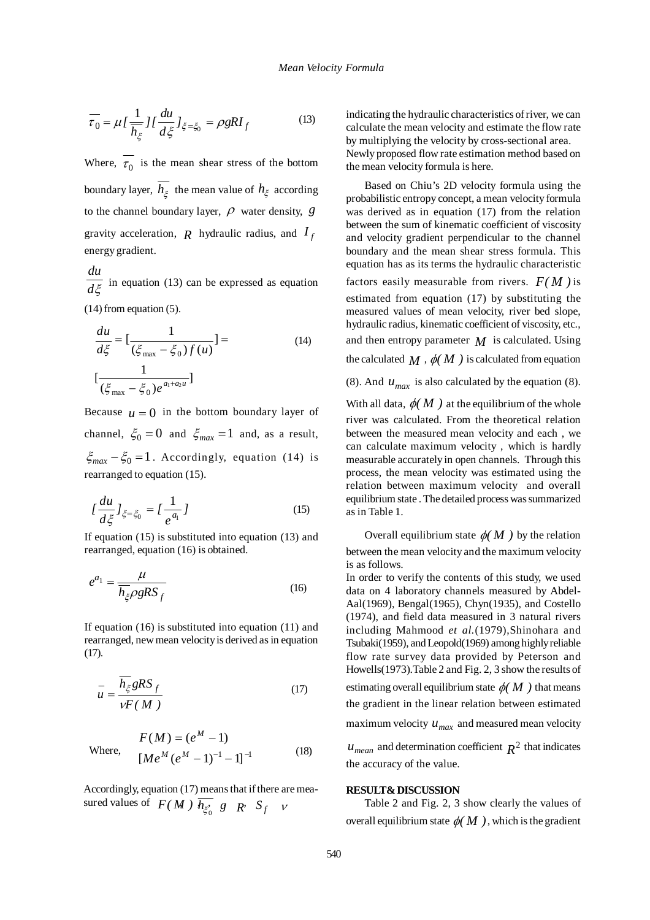$$
\overline{\tau_0} = \mu \left[ \frac{1}{h_{\xi}} \right] \left[ \frac{du}{d\xi} \right]_{\xi = \xi_0} = \rho g R I_f \tag{13}
$$

Where,  $\overline{\tau_0}$  is the mean shear stress of the bottom boundary layer,  $\overline{h_{\xi}}$  the mean value of  $h_{\xi}$  according to the channel boundary layer,  $\rho$  water density,  $g$ gravity acceleration,  $R$  hydraulic radius, and  $I_f$ energy gradient.

*d*ξ *du* in equation (13) can be expressed as equation (14) from equation (5).

$$
\frac{du}{d\xi} = \left[\frac{1}{(\xi_{\text{max}} - \xi_0)f(u)}\right] =
$$
\n
$$
\left[\frac{1}{(\xi_{\text{max}} - \xi_0)e^{a_1 + a_2 u}}\right]
$$
\n(14)

Because  $\mu = 0$  in the bottom boundary layer of channel,  $\xi_0 = 0$  and  $\xi_{max} = 1$  and, as a result,  $\xi_{max} - \xi_0 = 1$ . Accordingly, equation (14) is rearranged to equation (15).

$$
\left\{ \frac{du}{d\xi} \right\}_{\xi = \xi_0} = \left\{ \frac{1}{e^{a_1}} \right\} \tag{15}
$$

If equation (15) is substituted into equation (13) and rearranged, equation (16) is obtained.

$$
e^{a_1} = \frac{\mu}{\overline{h_{\xi}} \rho g R S_f}
$$
 (16)

If equation (16) is substituted into equation (11) and rearranged, new mean velocity is derived as in equation (17).

$$
\bar{u} = \frac{\overline{h_{\xi}} gRS_f}{\nu F(M)}
$$
(17)

Where, 
$$
F(M) = (e^{M} - 1)
$$

$$
[Me^{M}(e^{M} - 1)^{-1} - 1]^{-1}
$$
 (18)

Accordingly, equation (17) means that if there are measured values of  $F(M)$   $\overline{h_{\xi_0}^s}$  *g*  $R$ <sup>*n*</sup>  $S_f$  *v* 

indicating the hydraulic characteristics of river, we can calculate the mean velocity and estimate the flow rate by multiplying the velocity by cross-sectional area. Newly proposed flow rate estimation method based on the mean velocity formula is here.

Based on Chiu's 2D velocity formula using the probabilistic entropy concept, a mean velocity formula was derived as in equation (17) from the relation between the sum of kinematic coefficient of viscosity and velocity gradient perpendicular to the channel boundary and the mean shear stress formula. This equation has as its terms the hydraulic characteristic factors easily measurable from rivers.  $F(M)$  is estimated from equation (17) by substituting the measured values of mean velocity, river bed slope, hydraulic radius, kinematic coefficient of viscosity, etc., and then entropy parameter  $M$  is calculated. Using the calculated  $M$ ,  $\phi(M)$  is calculated from equation (8). And  $u_{max}$  is also calculated by the equation (8). With all data,  $\phi(M)$  at the equilibrium of the whole

river was calculated. From the theoretical relation between the measured mean velocity and each , we can calculate maximum velocity , which is hardly measurable accurately in open channels. Through this process, the mean velocity was estimated using the relation between maximum velocity and overall equilibrium state . The detailed process was summarized as in Table 1.

Overall equilibrium state  $\phi(M)$  by the relation between the mean velocity and the maximum velocity is as follows.

In order to verify the contents of this study, we used data on 4 laboratory channels measured by Abdel-Aal(1969), Bengal(1965), Chyn(1935), and Costello (1974), and field data measured in 3 natural rivers including Mahmood *et al.*(1979),Shinohara and Tsubaki(1959), and Leopold(1969) among highly reliable flow rate survey data provided by Peterson and Howells(1973).Table 2 and Fig. 2, 3 show the results of estimating overall equilibrium state  $\phi(M)$  that means the gradient in the linear relation between estimated maximum velocity  $u_{max}$  and measured mean velocity

 $u_{mean}$  and determination coefficient  $R^2$  that indicates the accuracy of the value.

#### **RESULT& DISCUSSION**

Table 2 and Fig. 2, 3 show clearly the values of overall equilibrium state  $\phi(M)$ , which is the gradient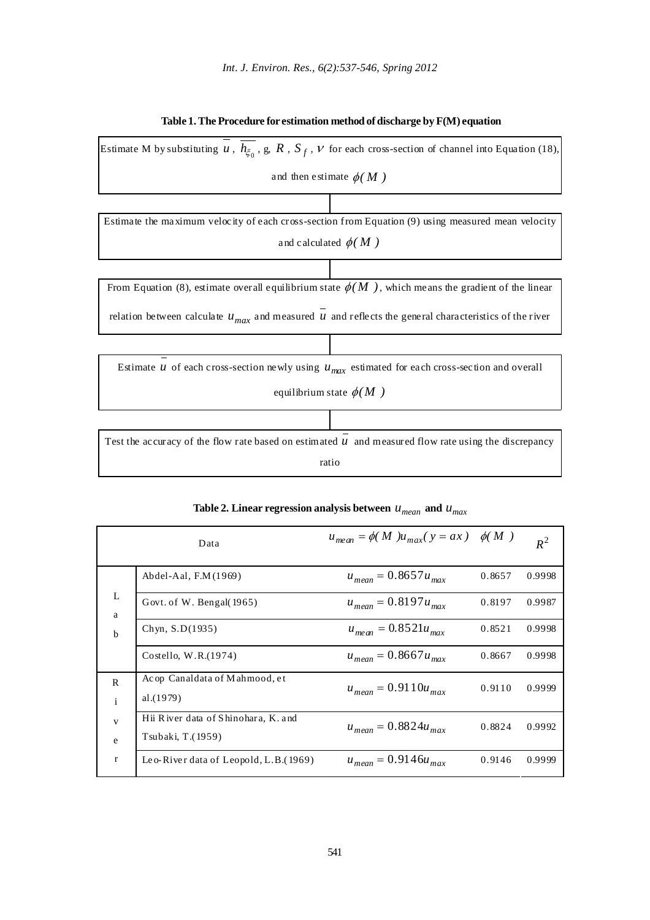

## **Table 1. The Procedure for estimation method of discharge by F(M) equation**

|                              | Data                                                     | $u_{mean} = \phi(M)u_{max}(y = ax)$ $\phi(M)$ |        | $R^2$  |
|------------------------------|----------------------------------------------------------|-----------------------------------------------|--------|--------|
| L<br>a<br>$\mathbf b$        | Abdel-Aal, $F.M(1969)$                                   | $u_{mean} = 0.8657 u_{max}$                   | 0.8657 | 0.9998 |
|                              | Govt. of W. Bengal(1965)                                 | $u_{mean} = 0.8197 u_{max}$                   | 0.8197 | 0.9987 |
|                              | Chyn, S.D(1935)                                          | $u_{mean} = 0.8521u_{max}$                    | 0.8521 | 0.9998 |
|                              | Costello, W.R.(1974)                                     | $u_{mean} = 0.8667 u_{max}$                   | 0.8667 | 0.9998 |
| $\mathsf{R}$<br>$\mathbf{i}$ | Acop Canaldata of Mahmood, et<br>al.(1979)               | $u_{mean} = 0.9110u_{max}$                    | 0.9110 | 0.9999 |
| $\mathbf{V}$<br>e            | Hii River data of Shinohara, K. and<br>Tsubaki, T.(1959) | $u_{mean} = 0.8824 u_{max}$                   | 0.8824 | 0.9992 |
| $\mathbf{r}$                 | Leo-River data of Leopold, L.B. $(1969)$                 | $u_{mean} = 0.9146 u_{max}$                   | 0.9146 | 0.9999 |

## Table 2. Linear regression analysis between  $u_{mean}$  and  $u_{max}$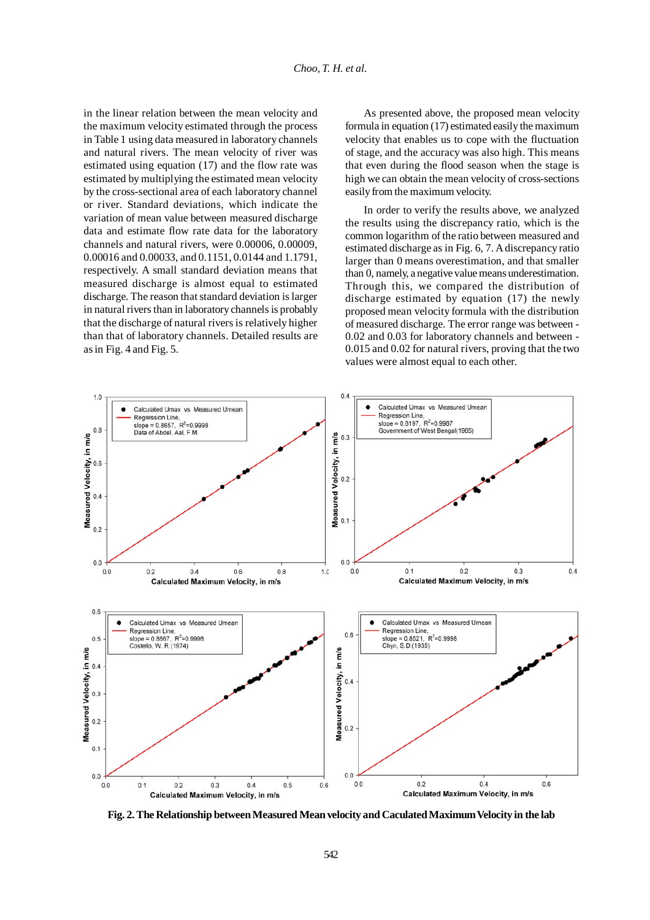in the linear relation between the mean velocity and the maximum velocity estimated through the process in Table 1 using data measured in laboratory channels and natural rivers. The mean velocity of river was estimated using equation (17) and the flow rate was estimated by multiplying the estimated mean velocity by the cross-sectional area of each laboratory channel or river. Standard deviations, which indicate the variation of mean value between measured discharge data and estimate flow rate data for the laboratory channels and natural rivers, were 0.00006, 0.00009, 0.00016 and 0.00033, and 0.1151, 0.0144 and 1.1791, respectively. A small standard deviation means that measured discharge is almost equal to estimated discharge. The reason that standard deviation is larger in natural rivers than in laboratory channels is probably that the discharge of natural rivers is relatively higher than that of laboratory channels. Detailed results are as in Fig. 4 and Fig. 5.

As presented above, the proposed mean velocity formula in equation (17) estimated easily the maximum velocity that enables us to cope with the fluctuation of stage, and the accuracy was also high. This means that even during the flood season when the stage is high we can obtain the mean velocity of cross-sections easily from the maximum velocity.

In order to verify the results above, we analyzed the results using the discrepancy ratio, which is the common logarithm of the ratio between measured and estimated discharge as in Fig. 6, 7. A discrepancy ratio larger than 0 means overestimation, and that smaller than 0, namely, a negative value means underestimation. Through this, we compared the distribution of discharge estimated by equation (17) the newly proposed mean velocity formula with the distribution of measured discharge. The error range was between - 0.02 and 0.03 for laboratory channels and between - 0.015 and 0.02 for natural rivers, proving that the two values were almost equal to each other.



**Fig. 2. The Relationship between Measured Mean velocity and Caculated Maximum Velocity in the lab**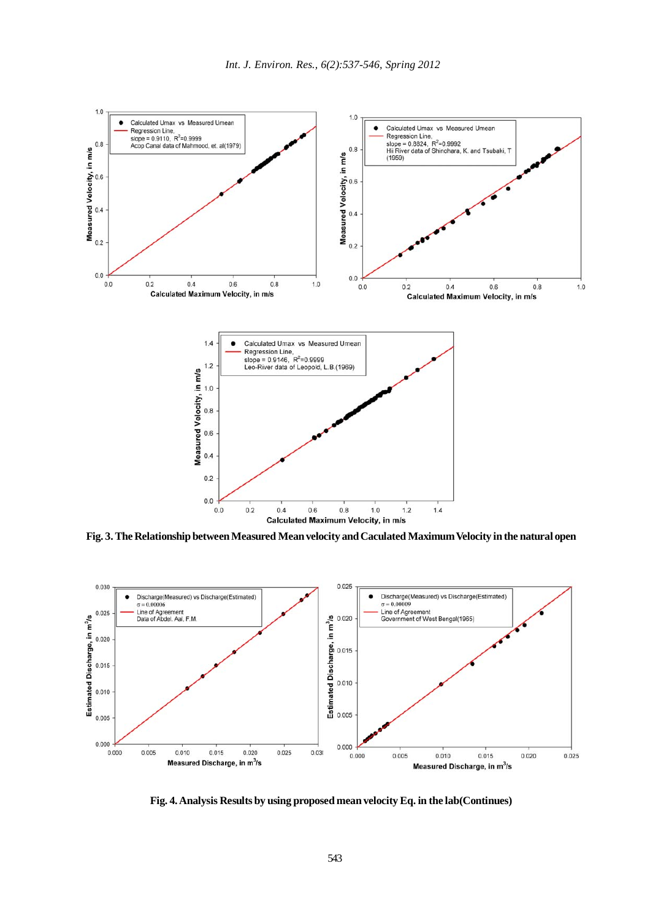

**Fig. 3. The Relationship between Measured Mean velocity and Caculated Maximum Velocity in the natural open**



**Fig. 4. Analysis Results by using proposed mean velocity Eq. in the lab(Continues)**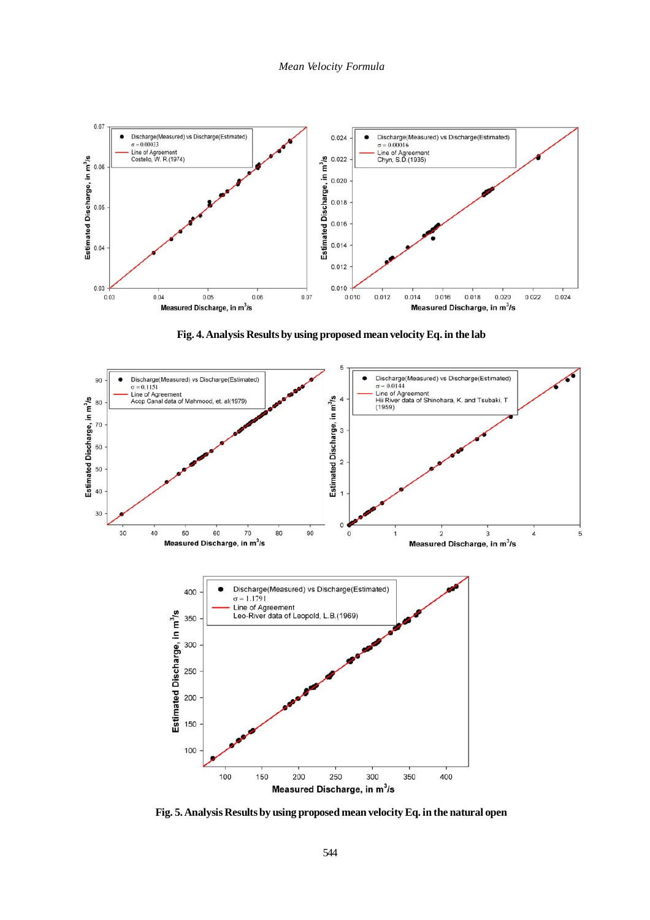

**Fig. 4. Analysis Results by using proposed mean velocity Eq. in the lab**



**Fig. 5. Analysis Results by using proposed mean velocity Eq. in the natural open**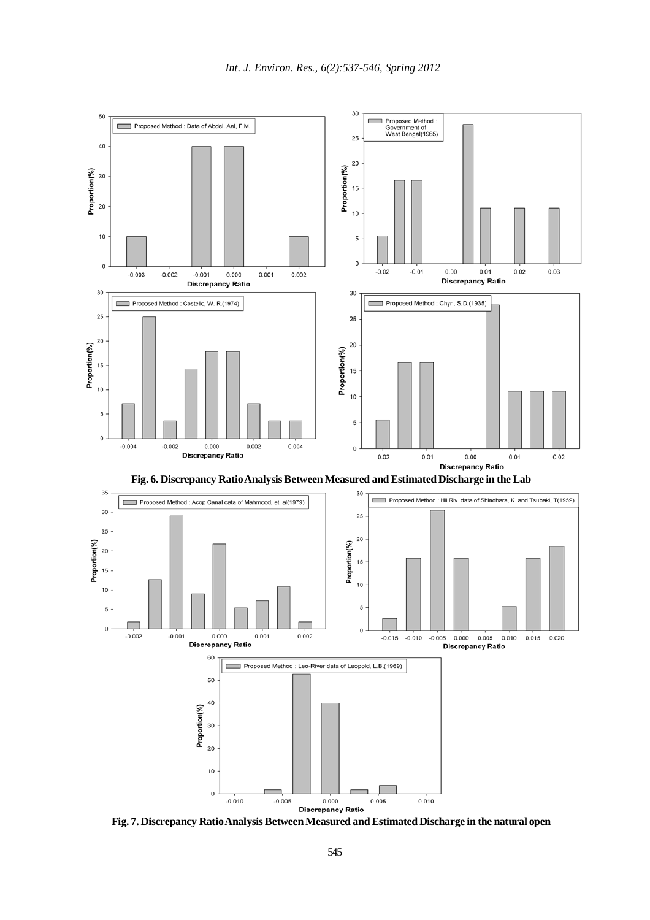

**Fig. 7. Discrepancy Ratio Analysis Between Measured and Estimated Discharge in the natural open**